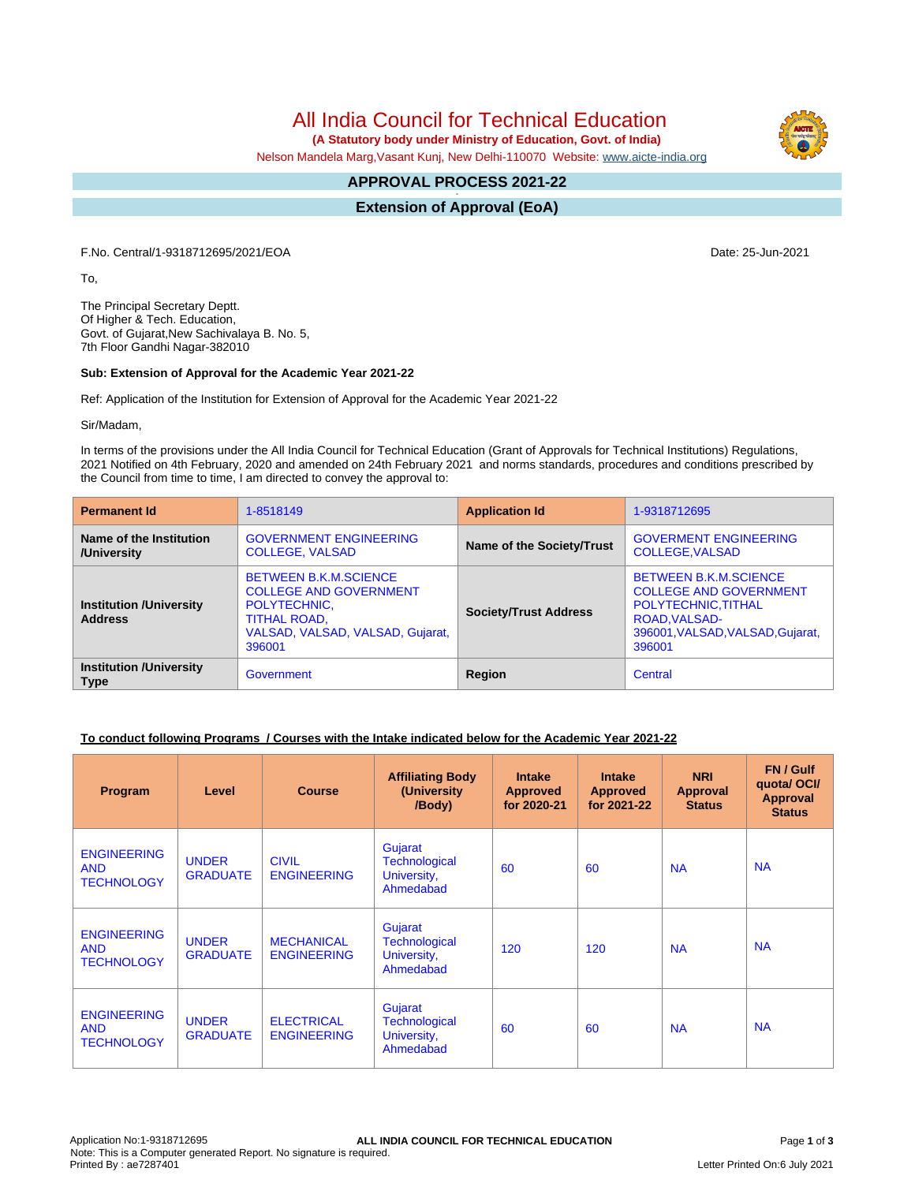All India Council for Technical Education

 **(A Statutory body under Ministry of Education, Govt. of India)**

Nelson Mandela Marg,Vasant Kunj, New Delhi-110070 Website: [www.aicte-india.org](http://www.aicte-india.org)

#### **APPROVAL PROCESS 2021-22 -**

**Extension of Approval (EoA)**

F.No. Central/1-9318712695/2021/EOA Date: 25-Jun-2021

To,

The Principal Secretary Deptt. Of Higher & Tech. Education, Govt. of Gujarat,New Sachivalaya B. No. 5, 7th Floor Gandhi Nagar-382010

## **Sub: Extension of Approval for the Academic Year 2021-22**

Ref: Application of the Institution for Extension of Approval for the Academic Year 2021-22

Sir/Madam,

In terms of the provisions under the All India Council for Technical Education (Grant of Approvals for Technical Institutions) Regulations, 2021 Notified on 4th February, 2020 and amended on 24th February 2021 and norms standards, procedures and conditions prescribed by the Council from time to time, I am directed to convey the approval to:

| <b>Permanent Id</b>                              | 1-8518149                                                                                                                                          | <b>Application Id</b>        | 1-9318712695                                                                                                                                        |  |
|--------------------------------------------------|----------------------------------------------------------------------------------------------------------------------------------------------------|------------------------------|-----------------------------------------------------------------------------------------------------------------------------------------------------|--|
| Name of the Institution<br>/University           | <b>GOVERNMENT ENGINEERING</b><br><b>COLLEGE, VALSAD</b>                                                                                            | Name of the Society/Trust    | <b>GOVERMENT ENGINEERING</b><br><b>COLLEGE, VALSAD</b>                                                                                              |  |
| <b>Institution /University</b><br><b>Address</b> | <b>BETWEEN B.K.M.SCIENCE</b><br><b>COLLEGE AND GOVERNMENT</b><br>POLYTECHNIC.<br><b>TITHAL ROAD,</b><br>VALSAD, VALSAD, VALSAD, Gujarat,<br>396001 | <b>Society/Trust Address</b> | <b>BETWEEN B.K.M.SCIENCE</b><br><b>COLLEGE AND GOVERNMENT</b><br>POLYTECHNIC, TITHAL<br>ROAD, VALSAD-<br>396001, VALSAD, VALSAD, Gujarat,<br>396001 |  |
| <b>Institution /University</b><br><b>Type</b>    | Government                                                                                                                                         | Region                       | Central                                                                                                                                             |  |

# **To conduct following Programs / Courses with the Intake indicated below for the Academic Year 2021-22**

| Program                                               | Level                           | <b>Course</b>                           | <b>Affiliating Body</b><br>(University<br>/Body)     | <b>Intake</b><br><b>Approved</b><br>for 2020-21 | <b>Intake</b><br><b>Approved</b><br>for 2021-22 | <b>NRI</b><br>Approval<br><b>Status</b> | FN / Gulf<br>quotal OCI/<br><b>Approval</b><br><b>Status</b> |
|-------------------------------------------------------|---------------------------------|-----------------------------------------|------------------------------------------------------|-------------------------------------------------|-------------------------------------------------|-----------------------------------------|--------------------------------------------------------------|
| <b>ENGINEERING</b><br><b>AND</b><br><b>TECHNOLOGY</b> | <b>UNDER</b><br><b>GRADUATE</b> | <b>CIVIL</b><br><b>ENGINEERING</b>      | Gujarat<br>Technological<br>University,<br>Ahmedabad | 60                                              | 60                                              | <b>NA</b>                               | <b>NA</b>                                                    |
| <b>ENGINEERING</b><br><b>AND</b><br><b>TECHNOLOGY</b> | <b>UNDER</b><br><b>GRADUATE</b> | <b>MECHANICAL</b><br><b>ENGINEERING</b> | Gujarat<br>Technological<br>University,<br>Ahmedabad | 120                                             | 120                                             | <b>NA</b>                               | <b>NA</b>                                                    |
| <b>ENGINEERING</b><br><b>AND</b><br><b>TECHNOLOGY</b> | <b>UNDER</b><br><b>GRADUATE</b> | <b>ELECTRICAL</b><br><b>ENGINEERING</b> | Gujarat<br>Technological<br>University,<br>Ahmedabad | 60                                              | 60                                              | <b>NA</b>                               | <b>NA</b>                                                    |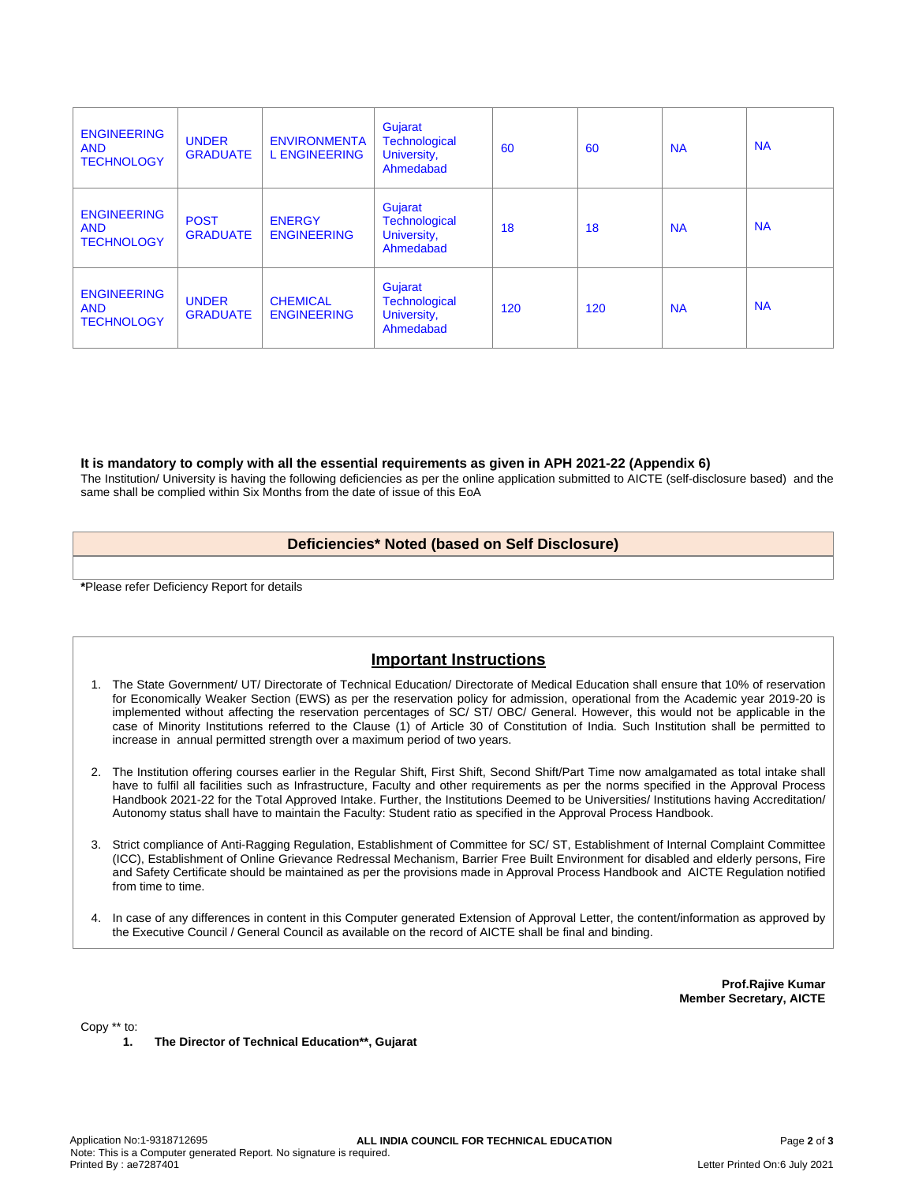| <b>ENGINEERING</b><br><b>AND</b><br><b>TECHNOLOGY</b> | <b>UNDER</b><br><b>GRADUATE</b> | <b>ENVIRONMENTA</b><br><b>L ENGINEERING</b> | Gujarat<br><b>Technological</b><br>University,<br>Ahmedabad | 60  | 60  | <b>NA</b> | <b>NA</b> |
|-------------------------------------------------------|---------------------------------|---------------------------------------------|-------------------------------------------------------------|-----|-----|-----------|-----------|
| <b>ENGINEERING</b><br><b>AND</b><br><b>TECHNOLOGY</b> | <b>POST</b><br><b>GRADUATE</b>  | <b>ENERGY</b><br><b>ENGINEERING</b>         | Gujarat<br>Technological<br>University,<br>Ahmedabad        | 18  | 18  | <b>NA</b> | <b>NA</b> |
| <b>ENGINEERING</b><br><b>AND</b><br><b>TECHNOLOGY</b> | <b>UNDER</b><br><b>GRADUATE</b> | <b>CHEMICAL</b><br><b>ENGINEERING</b>       | Gujarat<br>Technological<br>University,<br>Ahmedabad        | 120 | 120 | <b>NA</b> | <b>NA</b> |

## **It is mandatory to comply with all the essential requirements as given in APH 2021-22 (Appendix 6)**

The Institution/ University is having the following deficiencies as per the online application submitted to AICTE (self-disclosure based) and the same shall be complied within Six Months from the date of issue of this EoA

## **Deficiencies\* Noted (based on Self Disclosure)**

**\***Please refer Deficiency Report for details

# **Important Instructions**

- 1. The State Government/ UT/ Directorate of Technical Education/ Directorate of Medical Education shall ensure that 10% of reservation for Economically Weaker Section (EWS) as per the reservation policy for admission, operational from the Academic year 2019-20 is implemented without affecting the reservation percentages of SC/ ST/ OBC/ General. However, this would not be applicable in the case of Minority Institutions referred to the Clause (1) of Article 30 of Constitution of India. Such Institution shall be permitted to increase in annual permitted strength over a maximum period of two years.
- 2. The Institution offering courses earlier in the Regular Shift, First Shift, Second Shift/Part Time now amalgamated as total intake shall have to fulfil all facilities such as Infrastructure, Faculty and other requirements as per the norms specified in the Approval Process Handbook 2021-22 for the Total Approved Intake. Further, the Institutions Deemed to be Universities/ Institutions having Accreditation/ Autonomy status shall have to maintain the Faculty: Student ratio as specified in the Approval Process Handbook.
- 3. Strict compliance of Anti-Ragging Regulation, Establishment of Committee for SC/ ST, Establishment of Internal Complaint Committee (ICC), Establishment of Online Grievance Redressal Mechanism, Barrier Free Built Environment for disabled and elderly persons, Fire and Safety Certificate should be maintained as per the provisions made in Approval Process Handbook and AICTE Regulation notified from time to time.
- 4. In case of any differences in content in this Computer generated Extension of Approval Letter, the content/information as approved by the Executive Council / General Council as available on the record of AICTE shall be final and binding.

**Prof.Rajive Kumar Member Secretary, AICTE**

Copy \*\* to:

**1. The Director of Technical Education\*\*, Gujarat**